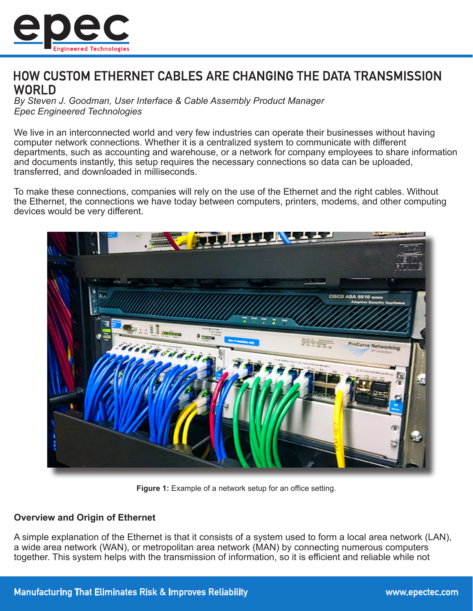

# HOW CUSTOM ETHERNET CABLES ARE CHANGING THE DATA TRANSMISSION **WORLD**

*By Steven J. Goodman, User Interface & Cable Assembly Product Manager Epec Engineered Technologies*

We live in an interconnected world and very few industries can operate their businesses without having computer network connections. Whether it is a centralized system to communicate with different departments, such as accounting and warehouse, or a network for company employees to share information and documents instantly, this setup requires the necessary connections so data can be uploaded, transferred, and downloaded in milliseconds.

To make these connections, companies will rely on the use of the Ethernet and the right cables. Without the Ethernet, the connections we have today between computers, printers, modems, and other computing devices would be very different.



**Figure 1:** Example of a network setup for an office setting.

# **Overview and Origin of Ethernet**

A simple explanation of the Ethernet is that it consists of a system used to form a local area network (LAN), a wide area network (WAN), or metropolitan area network (MAN) by connecting numerous computers together. This system helps with the transmission of information, so it is efficient and reliable while not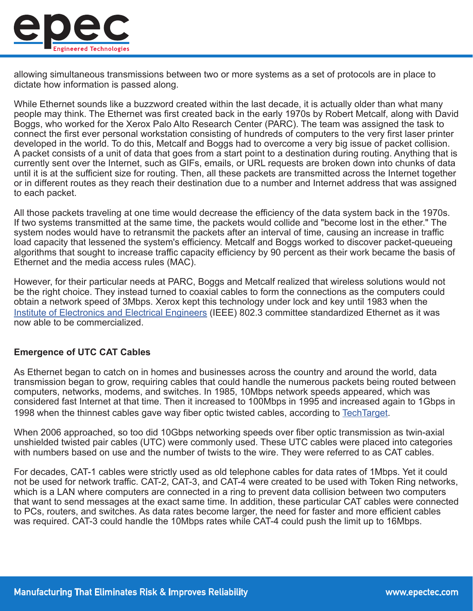

allowing simultaneous transmissions between two or more systems as a set of protocols are in place to dictate how information is passed along.

While Ethernet sounds like a buzzword created within the last decade, it is actually older than what many people may think. The Ethernet was first created back in the early 1970s by Robert Metcalf, along with David Boggs, who worked for the Xerox Palo Alto Research Center (PARC). The team was assigned the task to connect the first ever personal workstation consisting of hundreds of computers to the very first laser printer developed in the world. To do this, Metcalf and Boggs had to overcome a very big issue of packet collision. A packet consists of a unit of data that goes from a start point to a destination during routing. Anything that is currently sent over the Internet, such as GIFs, emails, or URL requests are broken down into chunks of data until it is at the sufficient size for routing. Then, all these packets are transmitted across the Internet together or in different routes as they reach their destination due to a number and Internet address that was assigned to each packet.

All those packets traveling at one time would decrease the efficiency of the data system back in the 1970s. If two systems transmitted at the same time, the packets would collide and "become lost in the ether." The system nodes would have to retransmit the packets after an interval of time, causing an increase in traffic load capacity that lessened the system's efficiency. Metcalf and Boggs worked to discover packet-queueing algorithms that sought to increase traffic capacity efficiency by 90 percent as their work became the basis of Ethernet and the media access rules (MAC).

However, for their particular needs at PARC, Boggs and Metcalf realized that wireless solutions would not be the right choice. They instead turned to coaxial cables to form the connections as the computers could obtain a network speed of 3Mbps. Xerox kept this technology under lock and key until 1983 when the [Institute of Electronics and Electrical Engineers](https://www.ieee.org/) (IEEE) 802.3 committee standardized Ethernet as it was now able to be commercialized.

# **Emergence of UTC CAT Cables**

As Ethernet began to catch on in homes and businesses across the country and around the world, data transmission began to grow, requiring cables that could handle the numerous packets being routed between computers, networks, modems, and switches. In 1985, 10Mbps network speeds appeared, which was considered fast Internet at that time. Then it increased to 100Mbps in 1995 and increased again to 1Gbps in 1998 when the thinnest cables gave way fiber optic twisted cables, according to [TechTarget](http://https://searchnetworking.techtarget.com/feature/Understanding-the-evolution-of-Ethernet).

When 2006 approached, so too did 10Gbps networking speeds over fiber optic transmission as twin-axial unshielded twisted pair cables (UTC) were commonly used. These UTC cables were placed into categories with numbers based on use and the number of twists to the wire. They were referred to as CAT cables.

For decades, CAT-1 cables were strictly used as old telephone cables for data rates of 1Mbps. Yet it could not be used for network traffic. CAT-2, CAT-3, and CAT-4 were created to be used with Token Ring networks, which is a LAN where computers are connected in a ring to prevent data collision between two computers that want to send messages at the exact same time. In addition, these particular CAT cables were connected to PCs, routers, and switches. As data rates become larger, the need for faster and more efficient cables was required. CAT-3 could handle the 10Mbps rates while CAT-4 could push the limit up to 16Mbps.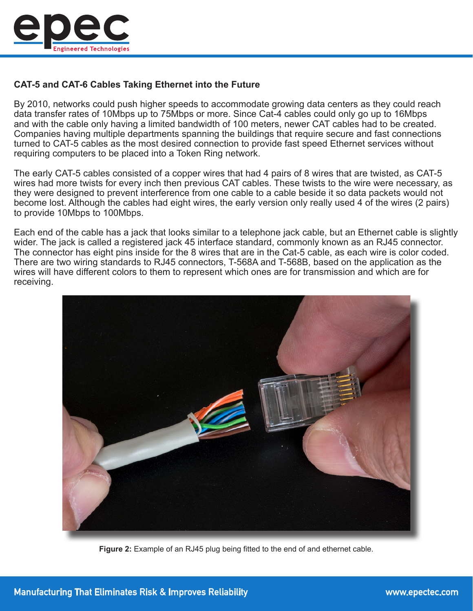

# **CAT-5 and CAT-6 Cables Taking Ethernet into the Future**

By 2010, networks could push higher speeds to accommodate growing data centers as they could reach data transfer rates of 10Mbps up to 75Mbps or more. Since Cat-4 cables could only go up to 16Mbps and with the cable only having a limited bandwidth of 100 meters, newer CAT cables had to be created. Companies having multiple departments spanning the buildings that require secure and fast connections turned to CAT-5 cables as the most desired connection to provide fast speed Ethernet services without requiring computers to be placed into a Token Ring network.

The early CAT-5 cables consisted of a copper wires that had 4 pairs of 8 wires that are twisted, as CAT-5 wires had more twists for every inch then previous CAT cables. These twists to the wire were necessary, as they were designed to prevent interference from one cable to a cable beside it so data packets would not become lost. Although the cables had eight wires, the early version only really used 4 of the wires (2 pairs) to provide 10Mbps to 100Mbps.

Each end of the cable has a jack that looks similar to a telephone jack cable, but an Ethernet cable is slightly wider. The jack is called a registered jack 45 interface standard, commonly known as an RJ45 connector. The connector has eight pins inside for the 8 wires that are in the Cat-5 cable, as each wire is color coded. There are two wiring standards to RJ45 connectors, T-568A and T-568B, based on the application as the wires will have different colors to them to represent which ones are for transmission and which are for receiving.



**Figure 2:** Example of an RJ45 plug being fitted to the end of and ethernet cable.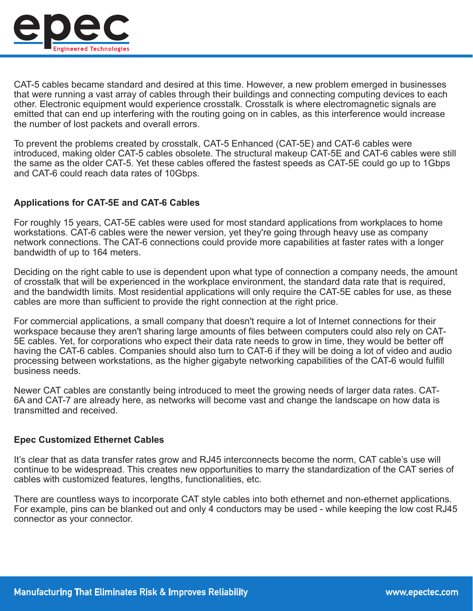

CAT-5 cables became standard and desired at this time. However, a new problem emerged in businesses that were running a vast array of cables through their buildings and connecting computing devices to each other. Electronic equipment would experience crosstalk. Crosstalk is where electromagnetic signals are emitted that can end up interfering with the routing going on in cables, as this interference would increase the number of lost packets and overall errors.

To prevent the problems created by crosstalk, CAT-5 Enhanced (CAT-5E) and CAT-6 cables were introduced, making older CAT-5 cables obsolete. The structural makeup CAT-5E and CAT-6 cables were still the same as the older CAT-5. Yet these cables offered the fastest speeds as CAT-5E could go up to 1Gbps and CAT-6 could reach data rates of 10Gbps.

# **Applications for CAT-5E and CAT-6 Cables**

For roughly 15 years, CAT-5E cables were used for most standard applications from workplaces to home workstations. CAT-6 cables were the newer version, yet they're going through heavy use as company network connections. The CAT-6 connections could provide more capabilities at faster rates with a longer bandwidth of up to 164 meters.

Deciding on the right cable to use is dependent upon what type of connection a company needs, the amount of crosstalk that will be experienced in the workplace environment, the standard data rate that is required, and the bandwidth limits. Most residential applications will only require the CAT-5E cables for use, as these cables are more than sufficient to provide the right connection at the right price.

For commercial applications, a small company that doesn't require a lot of Internet connections for their workspace because they aren't sharing large amounts of files between computers could also rely on CAT-5E cables. Yet, for corporations who expect their data rate needs to grow in time, they would be better off having the CAT-6 cables. Companies should also turn to CAT-6 if they will be doing a lot of video and audio processing between workstations, as the higher gigabyte networking capabilities of the CAT-6 would fulfill business needs.

Newer CAT cables are constantly being introduced to meet the growing needs of larger data rates. CAT-6A and CAT-7 are already here, as networks will become vast and change the landscape on how data is transmitted and received.

#### **Epec Customized Ethernet Cables**

It's clear that as data transfer rates grow and RJ45 interconnects become the norm, CAT cable's use will continue to be widespread. This creates new opportunities to marry the standardization of the CAT series of cables with customized features, lengths, functionalities, etc.

There are countless ways to incorporate CAT style cables into both ethernet and non-ethernet applications. For example, pins can be blanked out and only 4 conductors may be used - while keeping the low cost RJ45 connector as your connector.